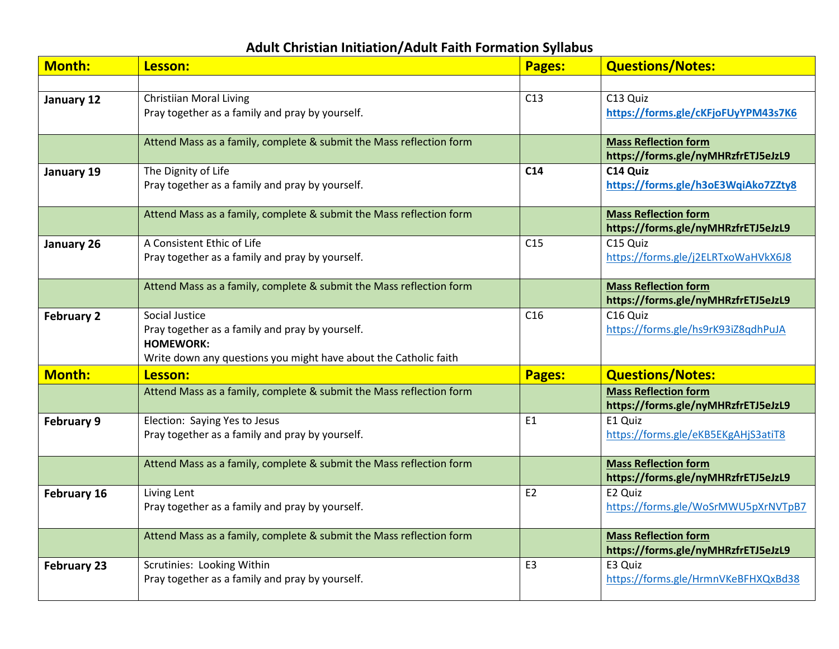## **Adult Christian Initiation/Adult Faith Formation Syllabus**

| <b>Month:</b>      | Lesson:                                                             | Pages:          | <b>Questions/Notes:</b>                                            |
|--------------------|---------------------------------------------------------------------|-----------------|--------------------------------------------------------------------|
|                    |                                                                     |                 |                                                                    |
| January 12         | <b>Christiian Moral Living</b>                                      | C13             | C13 Quiz                                                           |
|                    | Pray together as a family and pray by yourself.                     |                 | https://forms.gle/cKFjoFUyYPM43s7K6                                |
|                    | Attend Mass as a family, complete & submit the Mass reflection form |                 | <b>Mass Reflection form</b>                                        |
|                    |                                                                     |                 | https://forms.gle/nyMHRzfrETJ5eJzL9                                |
| January 19         | The Dignity of Life                                                 | C <sub>14</sub> | C14 Quiz                                                           |
|                    | Pray together as a family and pray by yourself.                     |                 | https://forms.gle/h3oE3WqiAko7ZZty8                                |
|                    | Attend Mass as a family, complete & submit the Mass reflection form |                 | <b>Mass Reflection form</b>                                        |
|                    |                                                                     |                 | https://forms.gle/nyMHRzfrETJ5eJzL9                                |
| January 26         | A Consistent Ethic of Life                                          | C15             | C15 Quiz                                                           |
|                    | Pray together as a family and pray by yourself.                     |                 | https://forms.gle/j2ELRTxoWaHVkX6J8                                |
|                    | Attend Mass as a family, complete & submit the Mass reflection form |                 | <b>Mass Reflection form</b>                                        |
|                    |                                                                     |                 | https://forms.gle/nyMHRzfrETJ5eJzL9                                |
| <b>February 2</b>  | Social Justice                                                      | C16             | C <sub>16</sub> Quiz                                               |
|                    | Pray together as a family and pray by yourself.                     |                 | https://forms.gle/hs9rK93iZ8qdhPuJA                                |
|                    | <b>HOMEWORK:</b>                                                    |                 |                                                                    |
|                    | Write down any questions you might have about the Catholic faith    |                 |                                                                    |
| <b>Month:</b>      | Lesson:                                                             | <b>Pages:</b>   | <b>Questions/Notes:</b>                                            |
|                    | Attend Mass as a family, complete & submit the Mass reflection form |                 | <b>Mass Reflection form</b><br>https://forms.gle/nyMHRzfrETJ5eJzL9 |
| <b>February 9</b>  | Election: Saying Yes to Jesus                                       | E1              | E1 Quiz                                                            |
|                    | Pray together as a family and pray by yourself.                     |                 | https://forms.gle/eKB5EKgAHjS3atiT8                                |
|                    |                                                                     |                 |                                                                    |
|                    | Attend Mass as a family, complete & submit the Mass reflection form |                 | <b>Mass Reflection form</b>                                        |
|                    |                                                                     |                 | https://forms.gle/nyMHRzfrETJ5eJzL9                                |
| February 16        | Living Lent                                                         | E2              | E2 Quiz                                                            |
|                    | Pray together as a family and pray by yourself.                     |                 | https://forms.gle/WoSrMWU5pXrNVTpB7                                |
|                    | Attend Mass as a family, complete & submit the Mass reflection form |                 | <b>Mass Reflection form</b>                                        |
|                    |                                                                     |                 | https://forms.gle/nyMHRzfrETJ5eJzL9                                |
| <b>February 23</b> | Scrutinies: Looking Within                                          | E <sub>3</sub>  | E3 Quiz                                                            |
|                    | Pray together as a family and pray by yourself.                     |                 | https://forms.gle/HrmnVKeBFHXQxBd38                                |
|                    |                                                                     |                 |                                                                    |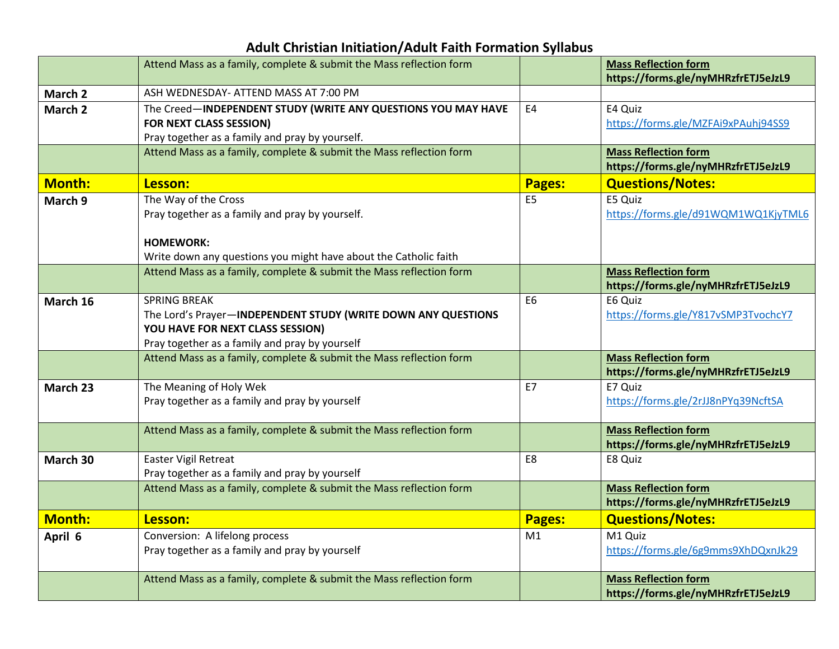## **Adult Christian Initiation/Adult Faith Formation Syllabus**

|               | Attend Mass as a family, complete & submit the Mass reflection form                                                                                                        |                | <b>Mass Reflection form</b><br>https://forms.gle/nyMHRzfrETJ5eJzL9 |
|---------------|----------------------------------------------------------------------------------------------------------------------------------------------------------------------------|----------------|--------------------------------------------------------------------|
| March 2       | ASH WEDNESDAY- ATTEND MASS AT 7:00 PM                                                                                                                                      |                |                                                                    |
| March 2       | The Creed-INDEPENDENT STUDY (WRITE ANY QUESTIONS YOU MAY HAVE<br><b>FOR NEXT CLASS SESSION)</b><br>Pray together as a family and pray by yourself.                         | E4             | E4 Quiz<br>https://forms.gle/MZFAi9xPAuhj94SS9                     |
|               | Attend Mass as a family, complete & submit the Mass reflection form                                                                                                        |                | <b>Mass Reflection form</b><br>https://forms.gle/nyMHRzfrETJ5eJzL9 |
| <b>Month:</b> | Lesson:                                                                                                                                                                    | <b>Pages:</b>  | <b>Questions/Notes:</b>                                            |
| March 9       | The Way of the Cross<br>Pray together as a family and pray by yourself.<br><b>HOMEWORK:</b><br>Write down any questions you might have about the Catholic faith            | E <sub>5</sub> | E5 Quiz<br>https://forms.gle/d91WQM1WQ1KjyTML6                     |
|               | Attend Mass as a family, complete & submit the Mass reflection form                                                                                                        |                | <b>Mass Reflection form</b><br>https://forms.gle/nyMHRzfrETJ5eJzL9 |
| March 16      | <b>SPRING BREAK</b><br>The Lord's Prayer-INDEPENDENT STUDY (WRITE DOWN ANY QUESTIONS<br>YOU HAVE FOR NEXT CLASS SESSION)<br>Pray together as a family and pray by yourself | E <sub>6</sub> | E6 Quiz<br>https://forms.gle/Y817vSMP3TvochcY7                     |
|               | Attend Mass as a family, complete & submit the Mass reflection form                                                                                                        |                | <b>Mass Reflection form</b><br>https://forms.gle/nyMHRzfrETJ5eJzL9 |
| March 23      | The Meaning of Holy Wek<br>Pray together as a family and pray by yourself                                                                                                  | E7             | E7 Quiz<br>https://forms.gle/2rJJ8nPYq39NcftSA                     |
|               | Attend Mass as a family, complete & submit the Mass reflection form                                                                                                        |                | <b>Mass Reflection form</b><br>https://forms.gle/nyMHRzfrETJ5eJzL9 |
| March 30      | <b>Easter Vigil Retreat</b><br>Pray together as a family and pray by yourself                                                                                              | E8             | E8 Quiz                                                            |
|               | Attend Mass as a family, complete & submit the Mass reflection form                                                                                                        |                | <b>Mass Reflection form</b><br>https://forms.gle/nyMHRzfrETJ5eJzL9 |
| <b>Month:</b> | Lesson:                                                                                                                                                                    | Pages:         | <b>Questions/Notes:</b>                                            |
| April 6       | Conversion: A lifelong process<br>Pray together as a family and pray by yourself                                                                                           | M1             | M1 Quiz<br>https://forms.gle/6g9mms9XhDQxnJk29                     |
|               | Attend Mass as a family, complete & submit the Mass reflection form                                                                                                        |                | <b>Mass Reflection form</b><br>https://forms.gle/nyMHRzfrETJ5eJzL9 |